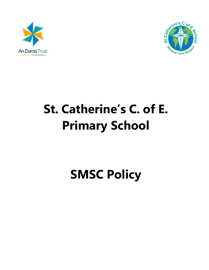



# **St. Catherine's C. of E. Primary School**

**SMSC Policy**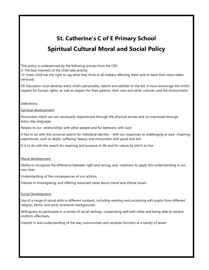# **St. Catherine's C of E Primary School Spiritual Cultural Moral and Social Policy**

This policy is underpinned by the following articles from the CRC:

3: The best interests of the child take priority.

12: Every child has the right to say what they think in all matters affecting them and to have their views taken seriously.

29: Education must develop every child's personality, talents and abilities to the full. It must encourage the child's respect for human rights, as well as respect for their parents, their own and other cultures, and the environment.

#### Definitions:

### Spiritual development:

Encounters which are not necessarily experienced through the physical senses and /or expressed through every-day language.

Relates to our relationships with other people and for believers, with God.

It has to do with the universal search for individual identity – with our responses to challenging or awe –inspiring experiences, such as death, suffering, beauty and encounters with good and evil.

It is to do with the search for meaning and purpose in life and for values by which to live .

# Moral development:

Ability to recognise the difference between right and wrong, and readiness to apply this understanding in our own lives.

Understanding of the consequences of our actions.

Interest in investigating, and offering reasoned views about moral and ethical issues.

#### Social Development:

Use of a range of social skills in different contexts, including working and socialising with pupils from different religion, ethnic and socio-economic backgrounds.

Willingness to participate in a variety of social settings, cooperating well with other and being able to resolve conflicts effectively.

Interest in and understanding of the way communities and societies function at a variety of levels.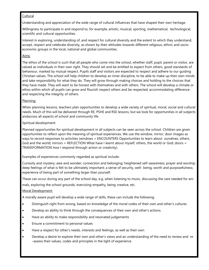# Cultural

Understanding and appreciation of the wide range of cultural influences that have shaped their own heritage.

Willingness to participate in and respond to, for example, artistic, musical, sporting, mathematical, technological, scientific and cultural opportunities.

Interest in exploring, understanding of, and respect for cultural diversity and the extent to which they understand, accept, respect and celebrate diversity, as shown by their attitudes towards different religious, ethnic and socioeconomic groups in the local, national and global communities.

# Aims:

The ethos of the school is such that all people who come into the school, whether staff, pupil, parent or visitor, are valued as individuals in their own right. They should set and be entitled to expect from others, good standards of behaviour, marked by mutual respect. Pupils staff and visitors are expected to respect and adhere to our guiding Christian values. The school will help children to develop an inner discipline, to be able to make up their own minds and take responsibility for what they do. They will grow through making choices and holding to the choices that they have made. They will want to be honest with themselves and with others. The school will develop a climate or ethos within which all pupils can grow and flourish respect others and be respected; accommodating difference and respecting the integrity of others.

# Planning:

When planning lessons, teachers plan opportunities to develop a wide variety of spiritual, moral, social and cultural needs. Much of this will be delivered through RE, PSHE and RSE lessons, but we look for opportunities in all subjects andacross all aspects of school and community life.

# Spiritual development:

Planned opportunities for spiritual development in all subjects can be seen across the school. Children are given opportunities to reflect upon the meaning of spiritual experiences. We use the window, mirror, door images as ways to record responses to activities (windows = ENCOUNTERS Opportunities to learn about ourselves, others, God and the world; mirrors = REFLECTION What have I learnt about myself, others, the world or God; doors = TRANSFORMATION how I respond through action or creativity).

Examples of experiences commonly regarded as spiritual include:

Curiosity and mystery; awe and wonder; connection and belonging; heightened self-awareness; prayer and worship; deep feelings of what is felt to be ultimately important; a sense of security, well- being, worth and purposefulness; experience of being part of something larger than yourself.

These can occur during any part of the school day, e.g. when listening to music, discussing the care needed for animals, exploring the school grounds, exercising empathy, being creative, etc.

# Moral Development:

A morally aware pupil will develop a wide range of skills, these can include the following;

- Distinguish right from wrong, based on knowledge of the moral codes of their own and other's cultures
- Develop an ability to think through the consequences of their own and other's actions.
- Have an ability to make responsibility and resonated judgements
- Ensure a commitment to personal values
- Have a respect for other's needs, interests and feelings, as well as their own
- Develop a desire to explore their own and other's views and an understanding of the need to review and re –assess their values, codes and principles in the light of experience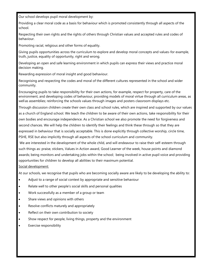Our school develops pupil moral development by:

Providing a clear moral code as a basis for behaviour which is promoted consistently through all aspects of the school.

Respecting their own rights and the rights of others through Christian values and accepted rules and codes of behaviour.

Promoting racial, religious and other forms of equality.

Giving pupils opportunities across the curriculum to explore and develop moral concepts and values-for example, truth, justice, equality of opportunity, right and wrong.

Developing an open and safe learning environment in which pupils can express their views and practice moral decision making.

Rewarding expression of moral insight and good behaviour.

Recognising and respecting the codes and moral of the different cultures represented in the school and wider community.

Encouraging pupils to take responsibility for their own actions, for example, respect for property, care of the environment, and developing codes of behaviour, providing models of moral virtue through all curriculum areas, as well as assemblies; reinforcing the schools values through images and posters classroom displays etc.

Through discussion children create their own class and school rules, which are inspired and supported by our values as a church of England school. We teach the children to be aware of their own actions, take responsibility for their own bodies and encourage independence. As a Christian school we also promote the need for forgiveness and second chances. We will help the children to identify their feelings and think these through so that they are expressed in behaviour that is socially acceptable. This is done explicitly through collective worship, circle time, PSHE, RSE but also implicitly through all aspects of the school curriculum and community.

We are interested in the development of the whole child, and will endeavour to raise their self-esteem through such things as: praise, stickers, Values in Action award, Good Learner of the week, house points and diamond awards; being monitors and undertaking jobs within the school; being involved in active pupil voice and providing opportunities for children to develop all abilities to their maximum potential. Social development:

At our schools, we recognise that pupils who are becoming socially aware are likely to be developing the ability to:

- Adjust to a range of social context by appropriate and sensitive behaviour
- Relate well to other people's social skills and personal qualities
- Work successfully as a member of a group or team
- Share views and opinions with others
- Resolve conflicts maturely and appropriately
- Reflect on their own contribution to society
- Show respect for people, living things, property and the environment
- Exercise responsibility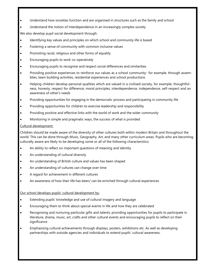- Understand how societies function and are organised in structures such as the family and school
- Understand the notion of interdependence in an increasingly complex society

We also develop pupil social development through:

- Identifying key values and principles on which school and community life is based
- Fostering a sense of community with common inclusive values
- Promoting racial, religious and other forms of equality
- Encouraging pupils to work co-operatively
- Encouraging pupils to recognise and respect social differences and similarities
- Providing positive experiences to reinforce our values as a school community- for example, through assemblies, team building activities, residential experiences and school productions
- Helping children develop personal qualities which are valued in a civilised society, for example, thoughtfulness, honesty, respect for difference, moral principles, interdependence, independence, self-respect and an awareness of other's needs
- Providing opportunities for engaging in the democratic process and participating in community life
- Providing opportunities for children to exercise leadership and responsibility
- Providing positive and effective links with the world of work and the wider community
- Monitoring in simple and pragmatic ways, the success of what is provided

#### Cultural development:

Children should be made aware of the diversity of other cultures both within modern Britain and throughout the world. This can be done through Music, Geography, Art, and many other curriculum areas. Pupils who are becoming culturally aware are likely to be developing some or all of the following characteristics:

- An ability to reflect on important questions of meaning and identity
- An understanding of cultural diversity
- An understanding of British culture and values has been shaped
- An understanding of cultures can change over time
- A regard for achievement in different cultures
- An awareness of how their life has been/ can be enriched through cultural experiences

#### Our school develops pupils' cultural development by:

- Extending pupils' knowledge and use of cultural imagery and language
- Encouraging them to think about special events in life and how they are celebrated
- Recognising and nurturing particular gifts and talents; providing opportunities for pupils to participate in literature, drama, music, art, crafts and other cultural events and encouraging pupils to reflect on their significance
- Emphasising cultural achievements through displays, posters, exhibitions etc. As well as developing partnerships with outside agencies and individuals to extend pupils' cultural awareness.